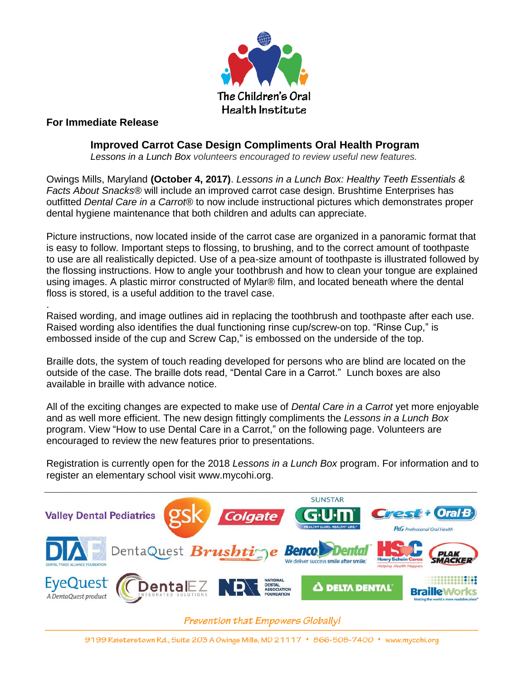

## **For Immediate Release**

.

## **Improved Carrot Case Design Compliments Oral Health Program**

 *Lessons in a Lunch Box volunteers encouraged to review useful new features.*

Owings Mills, Maryland **(October 4, 2017)**. *Lessons in a Lunch Box: Healthy Teeth Essentials & Facts About Snacks®* will include an improved carrot case design. Brushtime Enterprises has outfitted *Dental Care in a Carrot®* to now include instructional pictures which demonstrates proper dental hygiene maintenance that both children and adults can appreciate.

Picture instructions, now located inside of the carrot case are organized in a panoramic format that is easy to follow. Important steps to flossing, to brushing, and to the correct amount of toothpaste to use are all realistically depicted. Use of a pea-size amount of toothpaste is illustrated followed by the flossing instructions. How to angle your toothbrush and how to clean your tongue are explained using images. A plastic mirror constructed of Mylar® film, and located beneath where the dental floss is stored, is a useful addition to the travel case.

Raised wording, and image outlines aid in replacing the toothbrush and toothpaste after each use. Raised wording also identifies the dual functioning rinse cup/screw-on top. "Rinse Cup," is embossed inside of the cup and Screw Cap," is embossed on the underside of the top.

Braille dots, the system of touch reading developed for persons who are blind are located on the outside of the case. The braille dots read, "Dental Care in a Carrot." Lunch boxes are also available in braille with advance notice.

All of the exciting changes are expected to make use of *Dental Care in a Carrot* yet more enjoyable and as well more efficient. The new design fittingly compliments the *Lessons in a Lunch Box* program. View "How to use Dental Care in a Carrot," on the following page. Volunteers are encouraged to review the new features prior to presentations.

Registration is currently open for the 2018 *Lessons in a Lunch Box* program. For information and to register an elementary school visit [www.mycohi.org.](http://www.mycohi.org/)



**Prevention that Empowers Globally!**